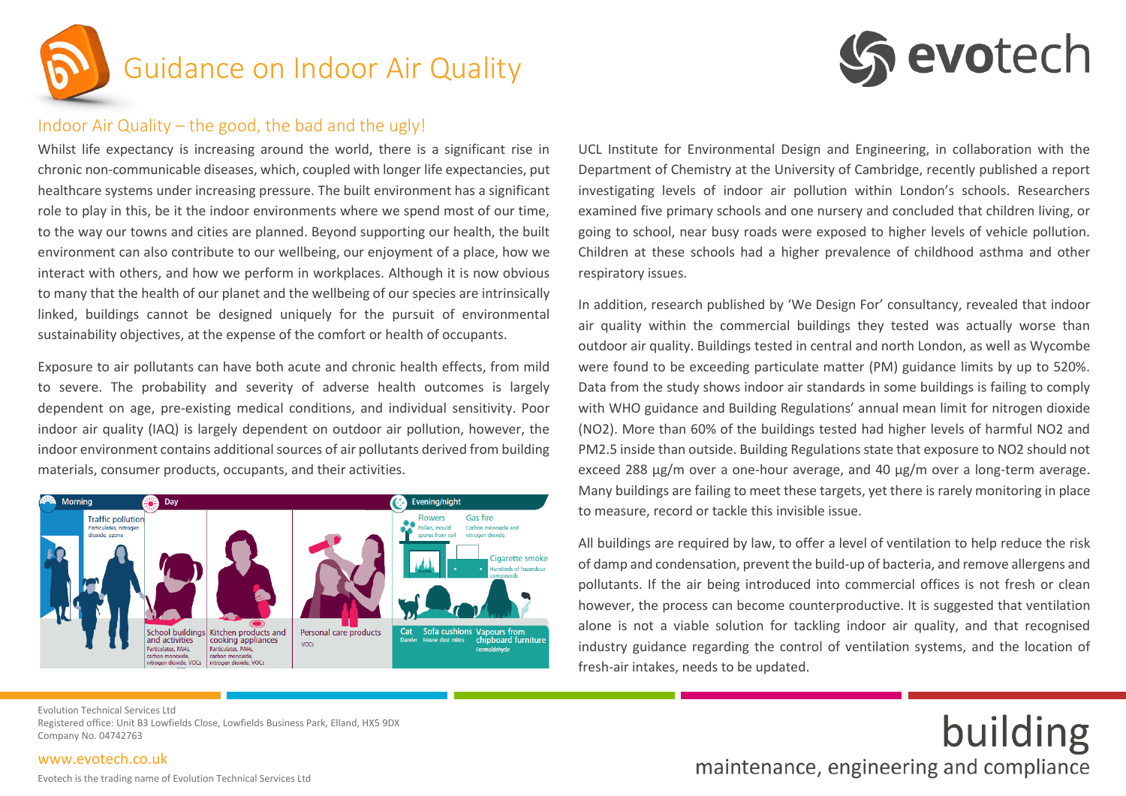

# Guidance on Indoor Air Quality



building

### Indoor Air Quality – the good, the bad and the ugly!

Whilst life expectancy is increasing around the world, there is a significant rise in chronic non-communicable diseases, which, coupled with longer life expectancies, put healthcare systems under increasing pressure. The built environment has a significant role to play in this, be it the indoor environments where we spend most of our time, to the way our towns and cities are planned. Beyond supporting our health, the built environment can also contribute to our wellbeing, our enjoyment of a place, how we interact with others, and how we perform in workplaces. Although it is now obvious to many that the health of our planet and the wellbeing of our species are intrinsically linked, buildings cannot be designed uniquely for the pursuit of environmental sustainability objectives, at the expense of the comfort or health of occupants.

Exposure to air pollutants can have both acute and chronic health effects, from mild to severe. The probability and severity of adverse health outcomes is largely dependent on age, pre-existing medical conditions, and individual sensitivity. Poor indoor air quality (IAQ) is largely dependent on outdoor air pollution, however, the indoor environment contains additional sources of air pollutants derived from building materials, consumer products, occupants, and their activities.



UCL Institute for Environmental Design and Engineering, in collaboration with the Department of Chemistry at the University of Cambridge, recently published a report investigating levels of indoor air pollution within London's schools. Researchers examined five primary schools and one nursery and concluded that children living, or going to school, near busy roads were exposed to higher levels of vehicle pollution. Children at these schools had a higher prevalence of childhood asthma and other respiratory issues.

In addition, research published by 'We Design For' consultancy, revealed that indoor air quality within the commercial buildings they tested was actually worse than outdoor air quality. Buildings tested in central and north London, as well as Wycombe were found to be exceeding particulate matter (PM) guidance limits by up to 520%. Data from the study shows indoor air standards in some buildings is failing to comply with WHO guidance and Building Regulations' annual mean limit for nitrogen dioxide (NO2). More than 60% of the buildings tested had higher levels of harmful NO2 and PM2.5 inside than outside. Building Regulations state that exposure to NO2 should not exceed 288 µg/m over a one-hour average, and 40 µg/m over a long-term average. Many buildings are failing to meet these targets, yet there is rarely monitoring in place to measure, record or tackle this invisible issue.

All buildings are required by law, to offer a level of ventilation to help reduce the risk of damp and condensation, prevent the build-up of bacteria, and remove allergens and pollutants. If the air being introduced into commercial offices is not fresh or clean however, the process can become counterproductive. It is suggested that ventilation alone is not a viable solution for tackling indoor air quality, and that recognised industry guidance regarding the control of ventilation systems, and the location of fresh-air intakes, needs to be updated.

maintenance, engineering and compliance

Evolution Technical Services Ltd Registered office: Unit B3 Lowfields Close, Lowfields Business Park, Elland, HX5 9DX Company No. 04742763

#### [www.evotech.co.uk](http://www.evotech.co.uk/)

Evotech is the trading name of Evolution Technical Services Ltd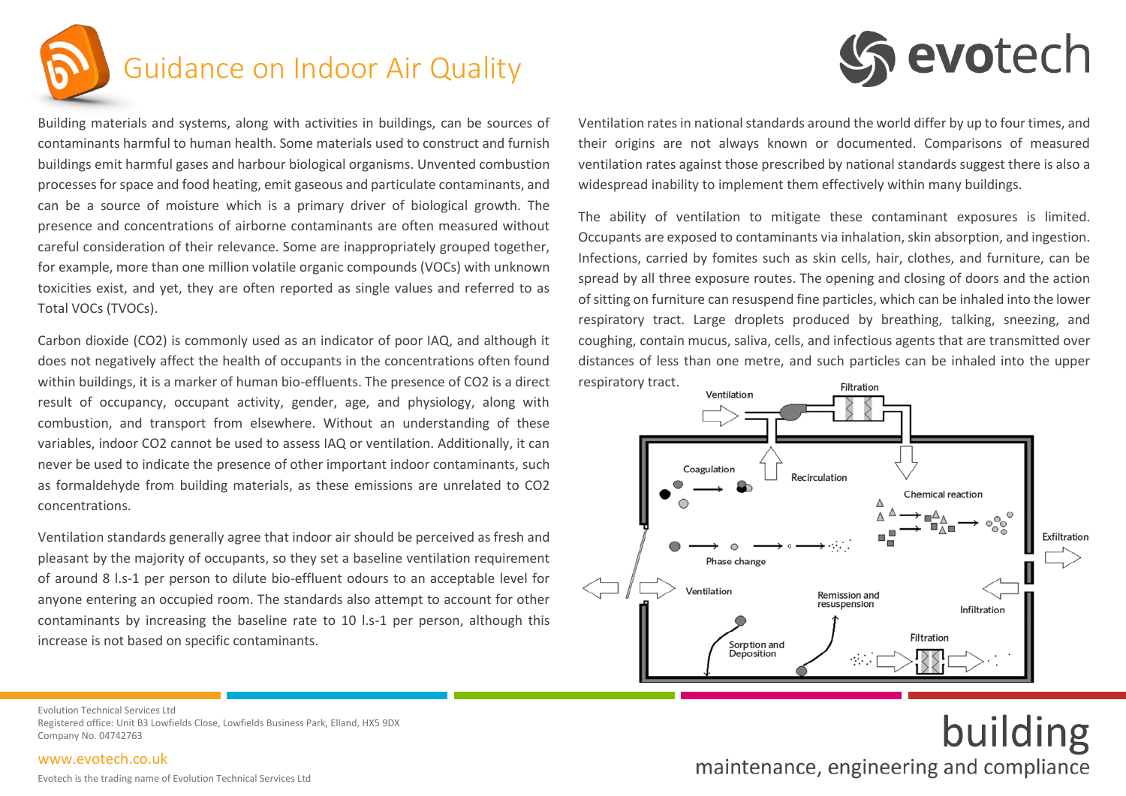

## Guidance on Indoor Air Quality



building

Building materials and systems, along with activities in buildings, can be sources of contaminants harmful to human health. Some materials used to construct and furnish buildings emit harmful gases and harbour biological organisms. Unvented combustion processes for space and food heating, emit gaseous and particulate contaminants, and can be a source of moisture which is a primary driver of biological growth. The presence and concentrations of airborne contaminants are often measured without careful consideration of their relevance. Some are inappropriately grouped together, for example, more than one million volatile organic compounds (VOCs) with unknown toxicities exist, and yet, they are often reported as single values and referred to as Total VOCs (TVOCs).

Carbon dioxide (CO2) is commonly used as an indicator of poor IAQ, and although it does not negatively affect the health of occupants in the concentrations often found within buildings, it is a marker of human bio-effluents. The presence of CO2 is a direct result of occupancy, occupant activity, gender, age, and physiology, along with combustion, and transport from elsewhere. Without an understanding of these variables, indoor CO2 cannot be used to assess IAQ or ventilation. Additionally, it can never be used to indicate the presence of other important indoor contaminants, such as formaldehyde from building materials, as these emissions are unrelated to CO2 concentrations.

Ventilation standards generally agree that indoor air should be perceived as fresh and pleasant by the majority of occupants, so they set a baseline ventilation requirement of around 8 l.s-1 per person to dilute bio-effluent odours to an acceptable level for anyone entering an occupied room. The standards also attempt to account for other contaminants by increasing the baseline rate to 10 l.s-1 per person, although this increase is not based on specific contaminants.

Ventilation rates in national standards around the world differ by up to four times, and their origins are not always known or documented. Comparisons of measured ventilation rates against those prescribed by national standards suggest there is also a widespread inability to implement them effectively within many buildings.

The ability of ventilation to mitigate these contaminant exposures is limited. Occupants are exposed to contaminants via inhalation, skin absorption, and ingestion. Infections, carried by fomites such as skin cells, hair, clothes, and furniture, can be spread by all three exposure routes. The opening and closing of doors and the action of sitting on furniture can resuspend fine particles, which can be inhaled into the lower respiratory tract. Large droplets produced by breathing, talking, sneezing, and coughing, contain mucus, saliva, cells, and infectious agents that are transmitted over distances of less than one metre, and such particles can be inhaled into the upper respiratory tract.



maintenance, engineering and compliance

Evolution Technical Services Ltd Registered office: Unit B3 Lowfields Close, Lowfields Business Park, Elland, HX5 9DX Company No. 04742763

#### [www.evotech.co.uk](http://www.evotech.co.uk/)

Evotech is the trading name of Evolution Technical Services Ltd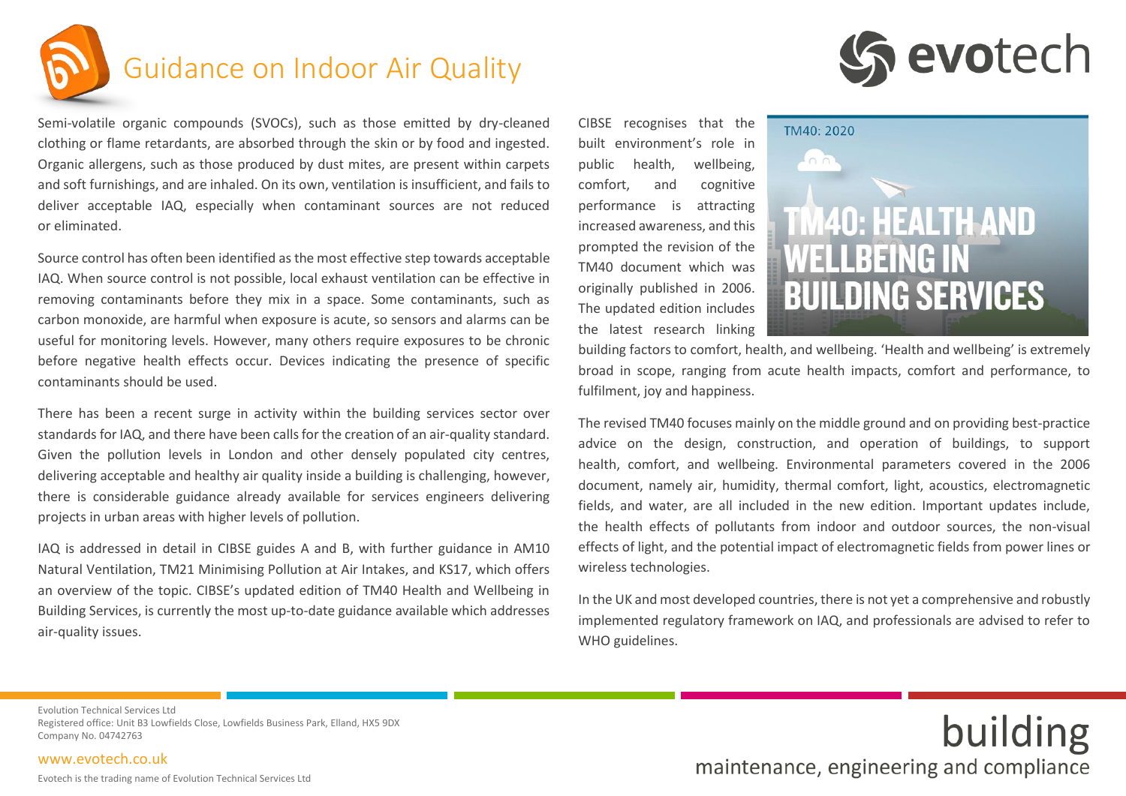

## Guidance on Indoor Air Quality

Semi-volatile organic compounds (SVOCs), such as those emitted by dry-cleaned clothing or flame retardants, are absorbed through the skin or by food and ingested. Organic allergens, such as those produced by dust mites, are present within carpets and soft furnishings, and are inhaled. On its own, ventilation is insufficient, and fails to deliver acceptable IAQ, especially when contaminant sources are not reduced or eliminated.

Source control has often been identified as the most effective step towards acceptable IAQ. When source control is not possible, local exhaust ventilation can be effective in removing contaminants before they mix in a space. Some contaminants, such as carbon monoxide, are harmful when exposure is acute, so sensors and alarms can be useful for monitoring levels. However, many others require exposures to be chronic before negative health effects occur. Devices indicating the presence of specific contaminants should be used.

There has been a recent surge in activity within the building services sector over standards for IAQ, and there have been calls for the creation of an air-quality standard. Given the pollution levels in London and other densely populated city centres, delivering acceptable and healthy air quality inside a building is challenging, however, there is considerable guidance already available for services engineers delivering projects in urban areas with higher levels of pollution.

IAQ is addressed in detail in CIBSE guides A and B, with further guidance in AM10 Natural Ventilation, TM21 Minimising Pollution at Air Intakes, and KS17, which offers an overview of the topic. CIBSE's updated edition of TM40 Health and Wellbeing in Building Services, is currently the most up-to-date guidance available which addresses air-quality issues.

CIBSE recognises that the built environment's role in public health, wellbeing, comfort, and cognitive performance is attracting increased awareness, and this prompted the revision of the TM40 document which was originally published in 2006. The updated edition includes the latest research linking



TM40: 2020 **140: HEALTH AND WELLBEING IN BUILDING SERVICES** 

building factors to comfort, health, and wellbeing. 'Health and wellbeing' is extremely broad in scope, ranging from acute health impacts, comfort and performance, to fulfilment, joy and happiness.

The revised TM40 focuses mainly on the middle ground and on providing best-practice advice on the design, construction, and operation of buildings, to support health, comfort, and wellbeing. Environmental parameters covered in the 2006 document, namely air, humidity, thermal comfort, light, acoustics, electromagnetic fields, and water, are all included in the new edition. Important updates include, the health effects of pollutants from indoor and outdoor sources, the non-visual effects of light, and the potential impact of electromagnetic fields from power lines or wireless technologies.

In the UK and most developed countries, there is not yet a comprehensive and robustly implemented regulatory framework on IAQ, and professionals are advised to refer to WHO guidelines.

Evolution Technical Services Ltd Registered office: Unit B3 Lowfields Close, Lowfields Business Park, Elland, HX5 9DX Company No. 04742763

[www.evotech.co.uk](http://www.evotech.co.uk/)

Evotech is the trading name of Evolution Technical Services Ltd

building maintenance, engineering and compliance